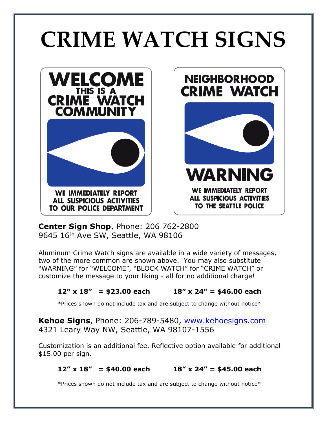# **CRIME WATCH SIGNS**





**Center Sign Shop**, Phone: 206 762-2800 9645 16th Ave SW, Seattle, WA 98106

Aluminum Crime Watch signs are available in a wide variety of messages, two of the more common are shown above. You may also substitute "WARNING" for "WELCOME", "BLOCK WATCH" for "CRIME WATCH" or customize the message to your liking - all for no additional charge!

## **12" x 18" = \$23.00 each 18" x 24" = \$46.00 each**

\*Prices shown do not include tax and are subject to change without notice\*

**Kehoe Signs**, Phone: 206-789-5480, [www.kehoesigns.com](http://www.kehoesigns.com/) 4321 Leary Way NW, Seattle, WA 98107-1556

Customization is an additional fee. Reflective option available for additional \$15.00 per sign.

## **12" x 18" = \$40.00 each 18" x 24" = \$45.00 each**

\*Prices shown do not include tax and are subject to change without notice\*